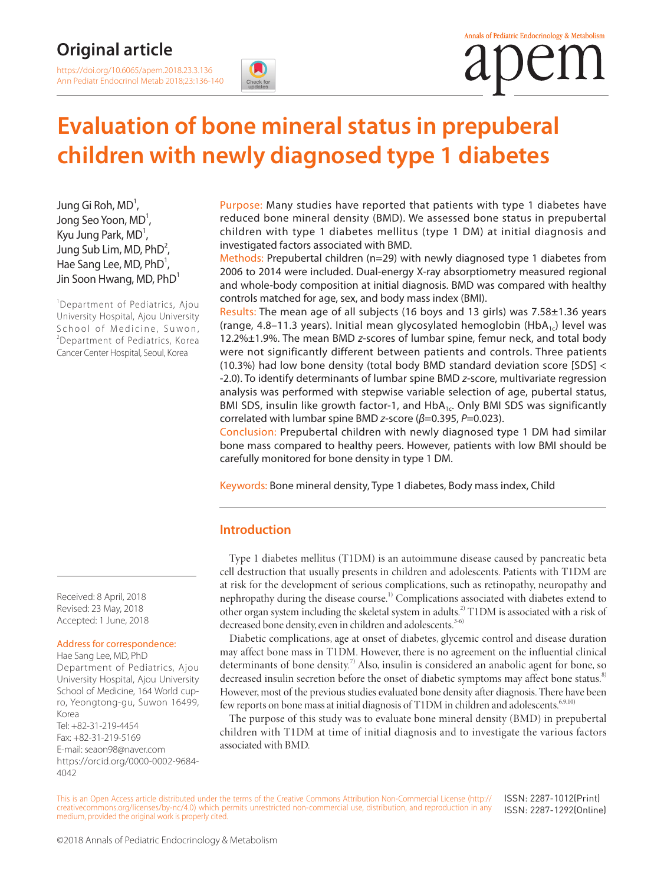## **Original article**

[https://doi.org/10.6065/apem.2018.23.3.136](https://doi.org/10.6065/apem.2018.23.2.75) Ann Pediatr Endocrinol Metab 2018;23:136-140





# **Evaluation of bone mineral status in prepuberal children with newly diagnosed type 1 diabetes**

Jung Gi Roh, MD<sup>1</sup>, Jong Seo Yoon, MD<sup>1</sup>, Kyu Jung Park,  $MD<sup>1</sup>$ , Jung Sub Lim, MD,  $PhD^2$ , Hae Sang Lee, MD,  $PhD<sup>1</sup>$ , Jin Soon Hwang, MD, PhD<sup>1</sup>

<sup>1</sup>Department of Pediatrics, Ajou University Hospital, Ajou University School of Medicine, Suwon, <sup>2</sup>Department of Pediatrics, Korea Cancer Center Hospital, Seoul, Korea

Received: 8 April, 2018 Revised: 23 May, 2018 Accepted: 1 June, 2018

#### Address for correspondence:

Hae Sang Lee, MD, PhD Department of Pediatrics, Ajou University Hospital, Ajou University School of Medicine, 164 World cupro, Yeongtong-gu, Suwon 16499, Korea Tel: +82-31-219-4454 Fax: +82-31-219-5169 E-mail: seaon98@naver.com [https://orcid.org/0](https://orcid.org/0000-0003-2913-059X)000-0002-9684- 4042

Purpose: Many studies have reported that patients with type 1 diabetes have reduced bone mineral density (BMD). We assessed bone status in prepubertal children with type 1 diabetes mellitus (type 1 DM) at initial diagnosis and investigated factors associated with BMD.

Methods: Prepubertal children (n=29) with newly diagnosed type 1 diabetes from 2006 to 2014 were included. Dual-energy X-ray absorptiometry measured regional and whole-body composition at initial diagnosis. BMD was compared with healthy controls matched for age, sex, and body mass index (BMI).

Results: The mean age of all subjects (16 boys and 13 girls) was 7.58±1.36 years (range, 4.8–11.3 years). Initial mean glycosylated hemoglobin (HbA<sub>1c</sub>) level was 12.2%±1.9%. The mean BMD *z*-scores of lumbar spine, femur neck, and total body were not significantly different between patients and controls. Three patients (10.3%) had low bone density (total body BMD standard deviation score [SDS] < -2.0). To identify determinants of lumbar spine BMD *z*-score, multivariate regression analysis was performed with stepwise variable selection of age, pubertal status, BMI SDS, insulin like growth factor-1, and  $HbA_{1c}$ . Only BMI SDS was significantly correlated with lumbar spine BMD *z*-score (*β*=0.395, *P*=0.023).

Conclusion: Prepubertal children with newly diagnosed type 1 DM had similar bone mass compared to healthy peers. However, patients with low BMI should be carefully monitored for bone density in type 1 DM.

Keywords: Bone mineral density, Type 1 diabetes, Body mass index, Child

#### **Introduction**

Type 1 diabetes mellitus (T1DM) is an autoimmune disease caused by pancreatic beta cell destruction that usually presents in children and adolescents. Patients with T1DM are at risk for the development of serious complications, such as retinopathy, neuropathy and nephropathy during the disease course.<sup>1)</sup> Complications associated with diabetes extend to other organ system including the skeletal system in adults.<sup>2)</sup> T1DM is associated with a risk of decreased bone density, even in children and adolescents.<sup>3-6)</sup>

Diabetic complications, age at onset of diabetes, glycemic control and disease duration may affect bone mass in T1DM. However, there is no agreement on the influential clinical determinants of bone density.<sup>7)</sup> Also, insulin is considered an anabolic agent for bone, so decreased insulin secretion before the onset of diabetic symptoms may affect bone status.<sup>8)</sup> However, most of the previous studies evaluated bone density after diagnosis. There have been few reports on bone mass at initial diagnosis of  $T1DM$  in children and adolescents.<sup>6,9,10)</sup>

The purpose of this study was to evaluate bone mineral density (BMD) in prepubertal children with T1DM at time of initial diagnosis and to investigate the various factors associated with BMD.

This is an Open Access article distributed under the terms of the Creative Commons Attribution Non-Commercial License ([http://](http://creativecommons.org/licenses/by-nc/4.0) [creativecommons.org/licenses/by-nc/4.0\)](http://creativecommons.org/licenses/by-nc/4.0) which permits unrestricted non-commercial use, distribution, and reproduction in any medium, provided the original work is properly cited.

ISSN: 2287-1012(Print) ISSN: 2287-1292(Online)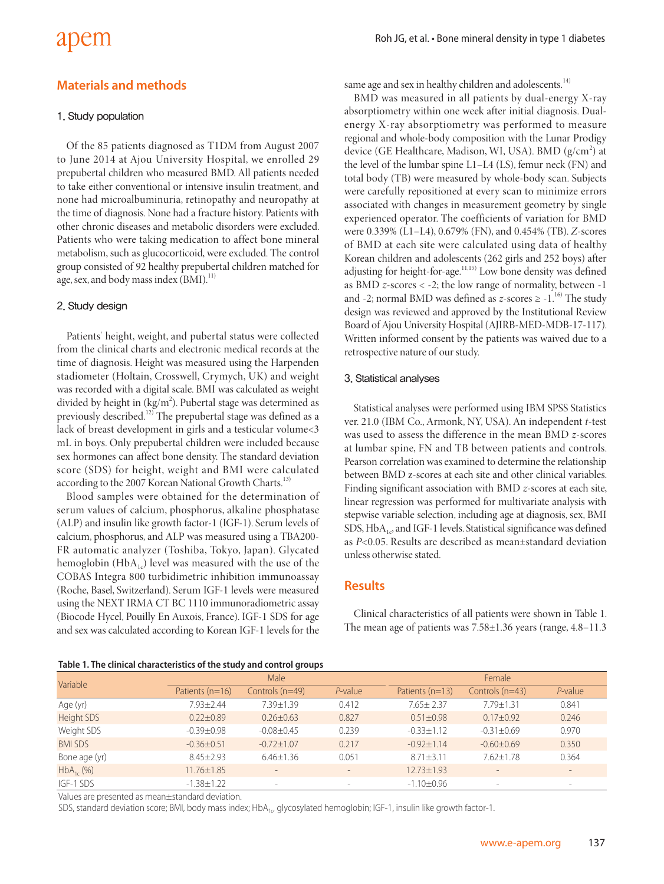# apem

### **Materials and methods**

#### 1. Study population

Of the 85 patients diagnosed as T1DM from August 2007 to June 2014 at Ajou University Hospital, we enrolled 29 prepubertal children who measured BMD. All patients needed to take either conventional or intensive insulin treatment, and none had microalbuminuria, retinopathy and neuropathy at the time of diagnosis. None had a fracture history. Patients with other chronic diseases and metabolic disorders were excluded. Patients who were taking medication to affect bone mineral metabolism, such as glucocorticoid, were excluded. The control group consisted of 92 healthy prepubertal children matched for age, sex, and body mass index (BMI).<sup>11)</sup>

#### 2. Study design

Patients' height, weight, and pubertal status were collected from the clinical charts and electronic medical records at the time of diagnosis. Height was measured using the Harpenden stadiometer (Holtain, Crosswell, Crymych, UK) and weight was recorded with a digital scale. BMI was calculated as weight divided by height in  $(kg/m<sup>2</sup>)$ . Pubertal stage was determined as previously described.<sup>12)</sup> The prepubertal stage was defined as a lack of breast development in girls and a testicular volume<3 mL in boys. Only prepubertal children were included because sex hormones can affect bone density. The standard deviation score (SDS) for height, weight and BMI were calculated according to the 2007 Korean National Growth Charts.<sup>13)</sup>

Blood samples were obtained for the determination of serum values of calcium, phosphorus, alkaline phosphatase (ALP) and insulin like growth factor-1 (IGF-1). Serum levels of calcium, phosphorus, and ALP was measured using a TBA200- FR automatic analyzer (Toshiba, Tokyo, Japan). Glycated hemoglobin (Hb $A_{1c}$ ) level was measured with the use of the COBAS Integra 800 turbidimetric inhibition immunoassay (Roche, Basel, Switzerland). Serum IGF-1 levels were measured using the NEXT IRMA CT BC 1110 immunoradiometric assay (Biocode Hycel, Pouilly En Auxois, France). IGF-1 SDS for age and sex was calculated according to Korean IGF-1 levels for the

same age and sex in healthy children and adolescents.<sup>14)</sup>

BMD was measured in all patients by dual-energy X-ray absorptiometry within one week after initial diagnosis. Dualenergy X-ray absorptiometry was performed to measure regional and whole-body composition with the Lunar Prodigy device (GE Healthcare, Madison, WI, USA). BMD (g/cm<sup>2</sup>) at the level of the lumbar spine L1–L4 (LS), femur neck (FN) and total body (TB) were measured by whole-body scan. Subjects were carefully repositioned at every scan to minimize errors associated with changes in measurement geometry by single experienced operator. The coefficients of variation for BMD were 0.339% (L1–L4), 0.679% (FN), and 0.454% (TB). *Z*-scores of BMD at each site were calculated using data of healthy Korean children and adolescents (262 girls and 252 boys) after adjusting for height-for-age.<sup>11,15)</sup> Low bone density was defined as BMD *z*-scores < -2; the low range of normality, between -1 and -2; normal BMD was defined as  $z$ -scores  $\geq$  -1.<sup>16)</sup> The study design was reviewed and approved by the Institutional Review Board of Ajou University Hospital (AJIRB-MED-MDB-17-117). Written informed consent by the patients was waived due to a retrospective nature of our study.

#### 3. Statistical analyses

Statistical analyses were performed using IBM SPSS Statistics ver. 21.0 (IBM Co., Armonk, NY, USA). An independent *t*-test was used to assess the difference in the mean BMD *z*-scores at lumbar spine, FN and TB between patients and controls. Pearson correlation was examined to determine the relationship between BMD z-scores at each site and other clinical variables. Finding significant association with BMD *z*-scores at each site, linear regression was performed for multivariate analysis with stepwise variable selection, including age at diagnosis, sex, BMI SDS,  $HbA_{1c}$  and IGF-1 levels. Statistical significance was defined as *P*<0.05. Results are described as mean±standard deviation unless otherwise stated.

#### **Results**

Clinical characteristics of all patients were shown in Table 1. The mean age of patients was 7.58±1.36 years (range, 4.8–11.3

|  |  | Table 1. The clinical characteristics of the study and control groups |  |  |  |  |
|--|--|-----------------------------------------------------------------------|--|--|--|--|
|--|--|-----------------------------------------------------------------------|--|--|--|--|

| Table 11 The Chineal Characteristics of the staat and control groups |                   |                  |            |                   |                  |                          |
|----------------------------------------------------------------------|-------------------|------------------|------------|-------------------|------------------|--------------------------|
| Variable                                                             | Male              |                  |            | Female            |                  |                          |
|                                                                      | Patients $(n=16)$ | Controls (n=49)  | $P$ -value | Patients $(n=13)$ | Controls (n=43)  | $P$ -value               |
| Age (yr)                                                             | $7.93 + 2.44$     | $7.39 + 1.39$    | 0.412      | $7.65 + 2.37$     | $7.79 + 1.31$    | 0.841                    |
| Height SDS                                                           | $0.22 + 0.89$     | $0.26 \pm 0.63$  | 0.827      | $0.51 + 0.98$     | $0.17 + 0.92$    | 0.246                    |
| Weight SDS                                                           | $-0.39 \pm 0.98$  | $-0.08 \pm 0.45$ | 0.239      | $-0.33 \pm 1.12$  | $-0.31 + 0.69$   | 0.970                    |
| <b>BMI SDS</b>                                                       | $-0.36 \pm 0.51$  | $-0.72 \pm 1.07$ | 0.217      | $-0.92 + 1.14$    | $-0.60 \pm 0.69$ | 0.350                    |
| Bone age (yr)                                                        | $8.45 + 2.93$     | $6.46 \pm 1.36$  | 0.051      | $8.71 + 3.11$     | $7.62 + 1.78$    | 0.364                    |
| $HbA_{1c}$ (%)                                                       | 11.76±1.85        |                  |            | $12.73 \pm 1.93$  |                  |                          |
| IGF-1 SDS                                                            | $-1.38 \pm 1.22$  |                  |            | $-1.10 \pm 0.96$  |                  | $\overline{\phantom{0}}$ |

Values are presented as mean±standard deviation.

SDS, standard deviation score; BMI, body mass index; HbA<sub>1c</sub>, glycosylated hemoglobin; IGF-1, insulin like growth factor-1.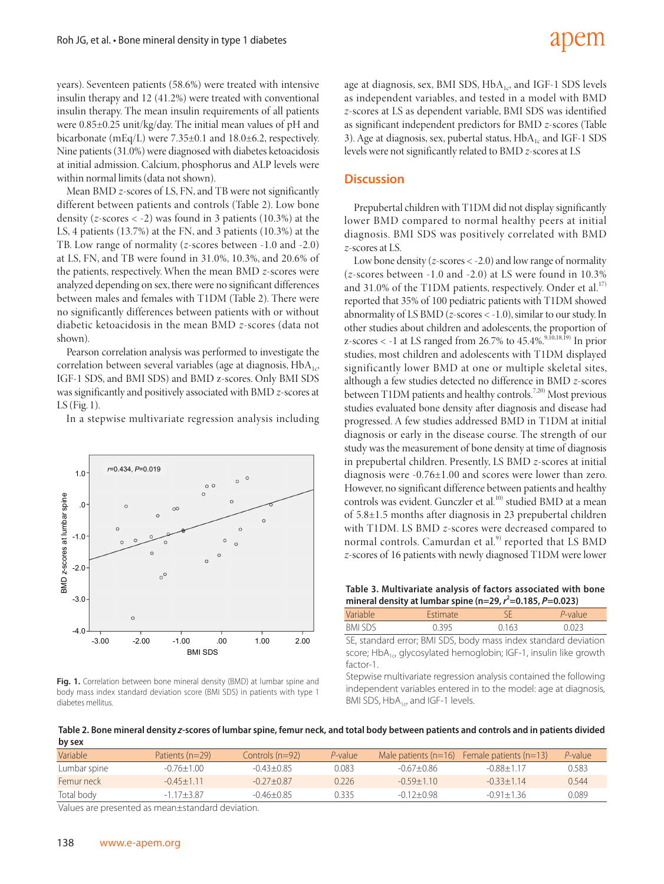years). Seventeen patients (58.6%) were treated with intensive insulin therapy and 12 (41.2%) were treated with conventional insulin therapy. The mean insulin requirements of all patients were 0.85±0.25 unit/kg/day. The initial mean values of pH and bicarbonate (mEq/L) were 7.35±0.1 and 18.0±6.2, respectively. Nine patients (31.0%) were diagnosed with diabetes ketoacidosis at initial admission. Calcium, phosphorus and ALP levels were within normal limits (data not shown).

Mean BMD *z*-scores of LS, FN, and TB were not significantly different between patients and controls (Table 2). Low bone density (*z*-scores < -2) was found in 3 patients (10.3%) at the LS, 4 patients (13.7%) at the FN, and 3 patients (10.3%) at the TB. Low range of normality (*z*-scores between -1.0 and -2.0) at LS, FN, and TB were found in 31.0%, 10.3%, and 20.6% of the patients, respectively. When the mean BMD *z*-scores were analyzed depending on sex, there were no significant differences between males and females with T1DM (Table 2). There were no significantly differences between patients with or without diabetic ketoacidosis in the mean BMD *z*-scores (data not shown).

Pearson correlation analysis was performed to investigate the correlation between several variables (age at diagnosis, HbA<sub>1c</sub>, IGF-1 SDS, and BMI SDS) and BMD z-scores. Only BMI SDS was significantly and positively associated with BMD *z*-scores at LS (Fig. 1).

In a stepwise multivariate regression analysis including



**Fig. 1.** Correlation between bone mineral density (BMD) at lumbar spine and body mass index standard deviation score (BMI SDS) in patients with type 1 diabetes mellitus.

age at diagnosis, sex, BMI SDS,  $HbA_{1c}$ , and IGF-1 SDS levels as independent variables, and tested in a model with BMD *z*-scores at LS as dependent variable, BMI SDS was identified as significant independent predictors for BMD *z*-scores (Table 3). Age at diagnosis, sex, pubertal status,  $HbA_{1c}$  and IGF-1 SDS levels were not significantly related to BMD *z*-scores at LS

#### **Discussion**

Prepubertal children with T1DM did not display significantly lower BMD compared to normal healthy peers at initial diagnosis. BMI SDS was positively correlated with BMD *z*-scores at LS.

Low bone density (*z*-scores < -2.0) and low range of normality (*z*-scores between -1.0 and -2.0) at LS were found in 10.3% and 31.0% of the T1DM patients, respectively. Onder et al.<sup>17)</sup> reported that 35% of 100 pediatric patients with T1DM showed abnormality of LS BMD (*z*-scores < -1.0), similar to our study. In other studies about children and adolescents, the proportion of z-scores < -1 at LS ranged from 26.7% to  $45.4\%$ .<sup>9,10,18,19)</sup> In prior studies, most children and adolescents with T1DM displayed significantly lower BMD at one or multiple skeletal sites, although a few studies detected no difference in BMD *z*-scores between T1DM patients and healthy controls.<sup>7,20)</sup> Most previous studies evaluated bone density after diagnosis and disease had progressed. A few studies addressed BMD in T1DM at initial diagnosis or early in the disease course. The strength of our study was the measurement of bone density at time of diagnosis in prepubertal children. Presently, LS BMD *z*-scores at initial diagnosis were -0.76±1.00 and scores were lower than zero. However, no significant difference between patients and healthy controls was evident. Gunczler et al.<sup>10)</sup> studied BMD at a mean of 5.8±1.5 months after diagnosis in 23 prepubertal children with T1DM. LS BMD *z*-scores were decreased compared to normal controls. Camurdan et al.<sup>9)</sup> reported that LS BMD *z*-scores of 16 patients with newly diagnosed T1DM were lower

**Table 3. Multivariate analysis of factors associated with bone mineral density at lumbar spine (n=29, <sup>r</sup> 2 =0.185, P=0.023)**

| Variable | <b>Estimate</b>                                                 | SΕ    | P-value |
|----------|-----------------------------------------------------------------|-------|---------|
| BMI SDS  | 0395                                                            | 0.163 | 0.023   |
|          | SE, standard error; BMI SDS, body mass index standard deviation |       |         |

score; HbA<sub>1c</sub>, glycosylated hemoglobin; IGF-1, insulin like growth factor-1.

Stepwise multivariate regression analysis contained the following independent variables entered in to the model: age at diagnosis, BMI SDS,  $HbA_{1c}$ , and IGF-1 levels.

| Table 2. Bone mineral density z-scores of lumbar spine, femur neck, and total body between patients and controls and in patients divided |  |
|------------------------------------------------------------------------------------------------------------------------------------------|--|
| by sex                                                                                                                                   |  |

| Variable     | Patients $(n=29)$ | Controls (n=92) | $P$ -value |                | Male patients $(n=16)$ Female patients $(n=13)$ | P-value |
|--------------|-------------------|-----------------|------------|----------------|-------------------------------------------------|---------|
| Lumbar spine | $-0.76 + 1.00$    | $-0.43 + 0.85$  | 0.083      | -0.67+0.86     | $-0.88 + 1.17$                                  | 0.583   |
| Femur neck   | $-0.45 + 1.11$    | $-0.27 + 0.87$  | 0226       | $-0.59 + 1.10$ | $-0.33 + 1.14$                                  | 0,544   |
| Total body   | $-117+387$        | $-0.46 + 0.85$  | 0335       | $-0.12 + 0.98$ | $-0.91 + 1.36$                                  | 0.089   |
| $\cdots$     |                   |                 |            |                |                                                 |         |

Values are presented as mean±standard deviation.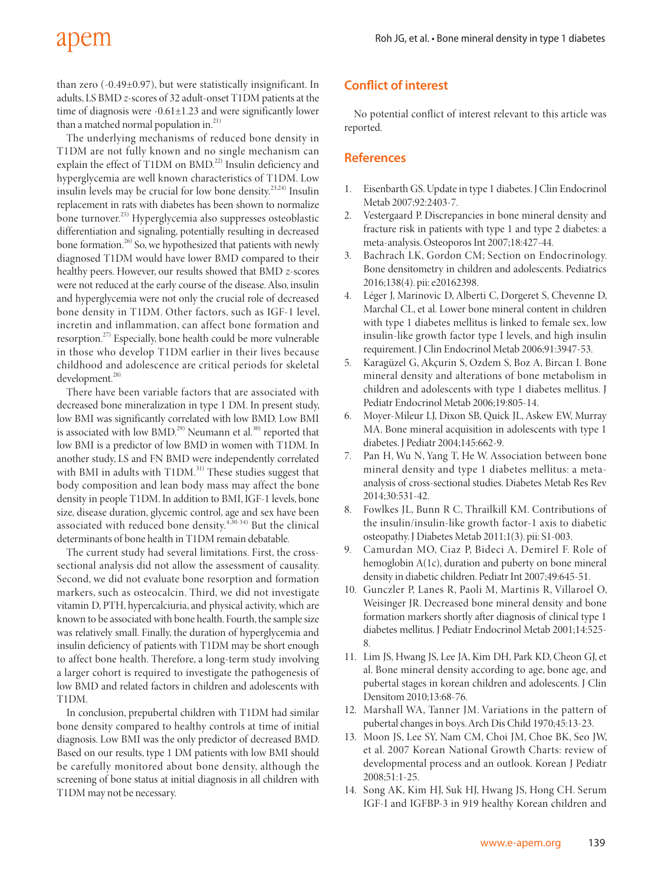# apem

than zero (-0.49±0.97), but were statistically insignificant. In adults, LS BMD *z*-scores of 32 adult-onset T1DM patients at the time of diagnosis were -0.61±1.23 and were significantly lower than a matched normal population in.<sup>21)</sup>

The underlying mechanisms of reduced bone density in T1DM are not fully known and no single mechanism can explain the effect of T1DM on BMD.<sup>22)</sup> Insulin deficiency and hyperglycemia are well known characteristics of T1DM. Low insulin levels may be crucial for low bone density.23,24) Insulin replacement in rats with diabetes has been shown to normalize bone turnover.25) Hyperglycemia also suppresses osteoblastic differentiation and signaling, potentially resulting in decreased bone formation.<sup>26)</sup> So, we hypothesized that patients with newly diagnosed T1DM would have lower BMD compared to their healthy peers. However, our results showed that BMD *z*-scores were not reduced at the early course of the disease. Also, insulin and hyperglycemia were not only the crucial role of decreased bone density in T1DM. Other factors, such as IGF-1 level, incretin and inflammation, can affect bone formation and resorption.<sup>27)</sup> Especially, bone health could be more vulnerable in those who develop T1DM earlier in their lives because childhood and adolescence are critical periods for skeletal development.<sup>28)</sup>

There have been variable factors that are associated with decreased bone mineralization in type 1 DM. In present study, low BMI was significantly correlated with low BMD. Low BMI is associated with low BMD.<sup>29)</sup> Neumann et al.<sup>30)</sup> reported that low BMI is a predictor of low BMD in women with T1DM. In another study, LS and FN BMD were independently correlated with BMI in adults with  $T1DM$ <sup>31)</sup> These studies suggest that body composition and lean body mass may affect the bone density in people T1DM. In addition to BMI, IGF-1 levels, bone size, disease duration, glycemic control, age and sex have been associated with reduced bone density. $4,30-34$  But the clinical determinants of bone health in T1DM remain debatable.

The current study had several limitations. First, the crosssectional analysis did not allow the assessment of causality. Second, we did not evaluate bone resorption and formation markers, such as osteocalcin. Third, we did not investigate vitamin D, PTH, hypercalciuria, and physical activity, which are known to be associated with bone health. Fourth, the sample size was relatively small. Finally, the duration of hyperglycemia and insulin deficiency of patients with T1DM may be short enough to affect bone health. Therefore, a long-term study involving a larger cohort is required to investigate the pathogenesis of low BMD and related factors in children and adolescents with T1DM.

In conclusion, prepubertal children with T1DM had similar bone density compared to healthy controls at time of initial diagnosis. Low BMI was the only predictor of decreased BMD. Based on our results, type 1 DM patients with low BMI should be carefully monitored about bone density, although the screening of bone status at initial diagnosis in all children with T1DM may not be necessary.

### **Conflict of interest**

No potential conflict of interest relevant to this article was reported.

### **References**

- 1. Eisenbarth GS. Update in type 1 diabetes. J Clin Endocrinol Metab 2007;92:2403-7.
- 2. Vestergaard P. Discrepancies in bone mineral density and fracture risk in patients with type 1 and type 2 diabetes: a meta-analysis. Osteoporos Int 2007;18:427-44.
- 3. Bachrach LK, Gordon CM; Section on Endocrinology. Bone densitometry in children and adolescents. Pediatrics 2016;138(4). pii: e20162398.
- 4. Léger J, Marinovic D, Alberti C, Dorgeret S, Chevenne D, Marchal CL, et al. Lower bone mineral content in children with type 1 diabetes mellitus is linked to female sex, low insulin-like growth factor type I levels, and high insulin requirement. J Clin Endocrinol Metab 2006;91:3947-53.
- 5. Karagüzel G, Akçurin S, Ozdem S, Boz A, Bircan I. Bone mineral density and alterations of bone metabolism in children and adolescents with type 1 diabetes mellitus. J Pediatr Endocrinol Metab 2006;19:805-14.
- 6. Moyer-Mileur LJ, Dixon SB, Quick JL, Askew EW, Murray MA. Bone mineral acquisition in adolescents with type 1 diabetes. J Pediatr 2004;145:662-9.
- 7. Pan H, Wu N, Yang T, He W. Association between bone mineral density and type 1 diabetes mellitus: a metaanalysis of cross-sectional studies. Diabetes Metab Res Rev 2014;30:531-42.
- 8. Fowlkes JL, Bunn R C, Thrailkill KM. Contributions of the insulin/insulin-like growth factor-1 axis to diabetic osteopathy. J Diabetes Metab 2011;1(3). pii: S1-003.
- 9. Camurdan MO, Ciaz P, Bideci A, Demirel F. Role of hemoglobin A(1c), duration and puberty on bone mineral density in diabetic children. Pediatr Int 2007;49:645-51.
- 10. Gunczler P, Lanes R, Paoli M, Martinis R, Villaroel O, Weisinger JR. Decreased bone mineral density and bone formation markers shortly after diagnosis of clinical type 1 diabetes mellitus. J Pediatr Endocrinol Metab 2001;14:525- 8.
- 11. Lim JS, Hwang JS, Lee JA, Kim DH, Park KD, Cheon GJ, et al. Bone mineral density according to age, bone age, and pubertal stages in korean children and adolescents. J Clin Densitom 2010;13:68-76.
- 12. Marshall WA, Tanner JM. Variations in the pattern of pubertal changes in boys. Arch Dis Child 1970;45:13-23.
- 13. Moon JS, Lee SY, Nam CM, Choi JM, Choe BK, Seo JW, et al. 2007 Korean National Growth Charts: review of developmental process and an outlook. Korean J Pediatr 2008;51:1-25.
- 14. Song AK, Kim HJ, Suk HJ, Hwang JS, Hong CH. Serum IGF-I and IGFBP-3 in 919 healthy Korean children and